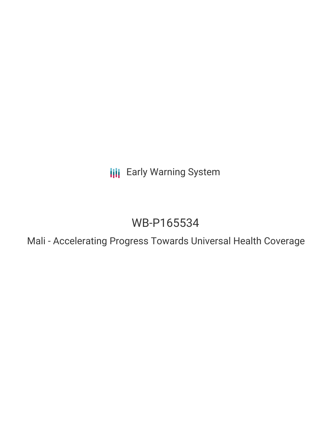**III** Early Warning System

# WB-P165534

Mali - Accelerating Progress Towards Universal Health Coverage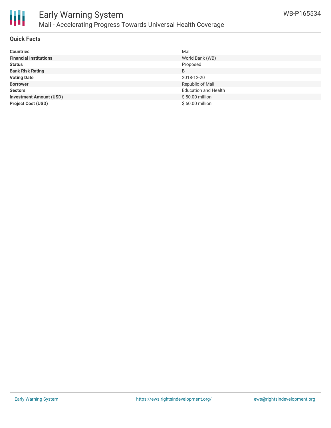

#### **Quick Facts**

| <b>Countries</b>               | Mali                        |
|--------------------------------|-----------------------------|
| <b>Financial Institutions</b>  | World Bank (WB)             |
| <b>Status</b>                  | Proposed                    |
| <b>Bank Risk Rating</b>        | B                           |
| <b>Voting Date</b>             | 2018-12-20                  |
| <b>Borrower</b>                | Republic of Mali            |
| <b>Sectors</b>                 | <b>Education and Health</b> |
| <b>Investment Amount (USD)</b> | $$50.00$ million            |
| <b>Project Cost (USD)</b>      | $$60.00$ million            |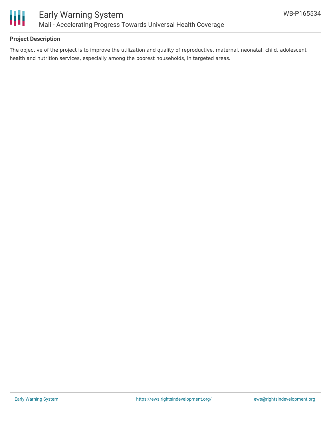

## **Project Description**

The objective of the project is to improve the utilization and quality of reproductive, maternal, neonatal, child, adolescent health and nutrition services, especially among the poorest households, in targeted areas.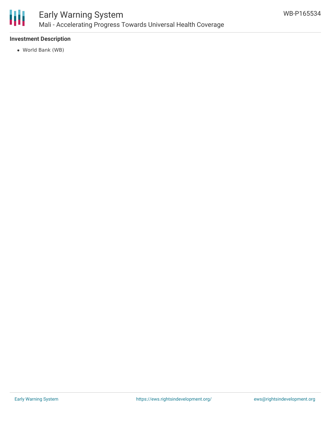

#### **Investment Description**

World Bank (WB)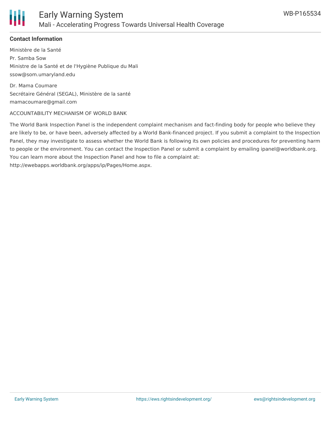

## **Contact Information**

Ministère de la Santé Pr. Samba Sow Ministre de la Santé et de l'Hygiène Publique du Mali ssow@som.umaryland.edu

Dr. Mama Coumare Secrétaire Général (SEGAL), Ministère de la santé mamacoumare@gmail.com

#### ACCOUNTABILITY MECHANISM OF WORLD BANK

The World Bank Inspection Panel is the independent complaint mechanism and fact-finding body for people who believe they are likely to be, or have been, adversely affected by a World Bank-financed project. If you submit a complaint to the Inspection Panel, they may investigate to assess whether the World Bank is following its own policies and procedures for preventing harm to people or the environment. You can contact the Inspection Panel or submit a complaint by emailing ipanel@worldbank.org. You can learn more about the Inspection Panel and how to file a complaint at: http://ewebapps.worldbank.org/apps/ip/Pages/Home.aspx.